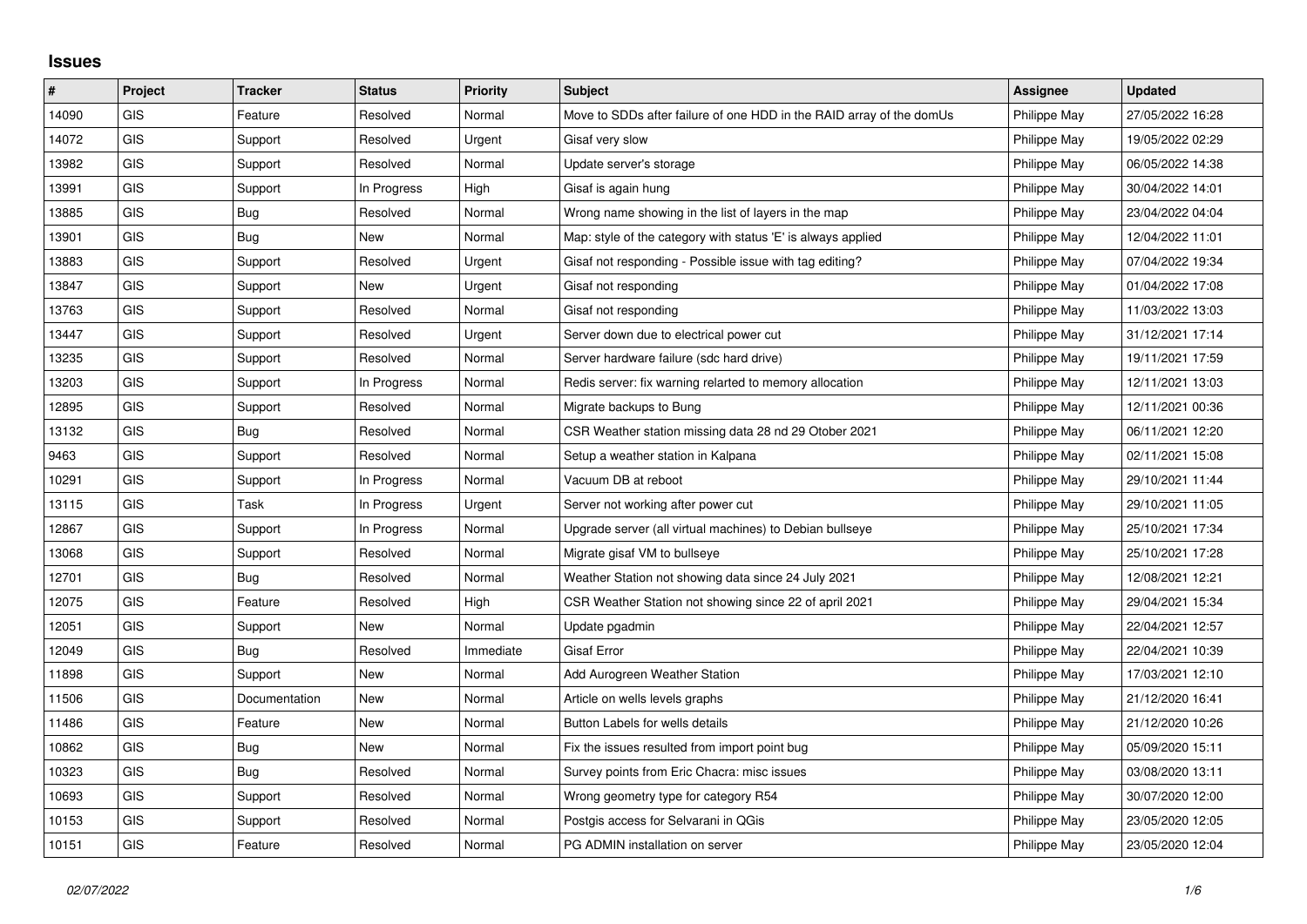## **Issues**

| $\sharp$ | Project    | <b>Tracker</b> | <b>Status</b> | <b>Priority</b> | <b>Subject</b>                                                       | <b>Assignee</b> | <b>Updated</b>   |
|----------|------------|----------------|---------------|-----------------|----------------------------------------------------------------------|-----------------|------------------|
| 14090    | <b>GIS</b> | Feature        | Resolved      | Normal          | Move to SDDs after failure of one HDD in the RAID array of the domUs | Philippe May    | 27/05/2022 16:28 |
| 14072    | GIS        | Support        | Resolved      | Urgent          | Gisaf very slow                                                      | Philippe May    | 19/05/2022 02:29 |
| 13982    | GIS        | Support        | Resolved      | Normal          | Update server's storage                                              | Philippe May    | 06/05/2022 14:38 |
| 13991    | <b>GIS</b> | Support        | In Progress   | High            | Gisaf is again hung                                                  | Philippe May    | 30/04/2022 14:01 |
| 13885    | GIS        | Bug            | Resolved      | Normal          | Wrong name showing in the list of layers in the map                  | Philippe May    | 23/04/2022 04:04 |
| 13901    | <b>GIS</b> | <b>Bug</b>     | <b>New</b>    | Normal          | Map: style of the category with status 'E' is always applied         | Philippe May    | 12/04/2022 11:01 |
| 13883    | <b>GIS</b> | Support        | Resolved      | Urgent          | Gisaf not responding - Possible issue with tag editing?              | Philippe May    | 07/04/2022 19:34 |
| 13847    | GIS        | Support        | <b>New</b>    | Urgent          | Gisaf not responding                                                 | Philippe May    | 01/04/2022 17:08 |
| 13763    | GIS        | Support        | Resolved      | Normal          | Gisaf not responding                                                 | Philippe May    | 11/03/2022 13:03 |
| 13447    | <b>GIS</b> | Support        | Resolved      | Urgent          | Server down due to electrical power cut                              | Philippe May    | 31/12/2021 17:14 |
| 13235    | <b>GIS</b> | Support        | Resolved      | Normal          | Server hardware failure (sdc hard drive)                             | Philippe May    | 19/11/2021 17:59 |
| 13203    | GIS        | Support        | In Progress   | Normal          | Redis server: fix warning relarted to memory allocation              | Philippe May    | 12/11/2021 13:03 |
| 12895    | GIS        | Support        | Resolved      | Normal          | Migrate backups to Bung                                              | Philippe May    | 12/11/2021 00:36 |
| 13132    | GIS        | Bug            | Resolved      | Normal          | CSR Weather station missing data 28 nd 29 Otober 2021                | Philippe May    | 06/11/2021 12:20 |
| 9463     | GIS        | Support        | Resolved      | Normal          | Setup a weather station in Kalpana                                   | Philippe May    | 02/11/2021 15:08 |
| 10291    | GIS        | Support        | In Progress   | Normal          | Vacuum DB at reboot                                                  | Philippe May    | 29/10/2021 11:44 |
| 13115    | GIS        | Task           | In Progress   | Urgent          | Server not working after power cut                                   | Philippe May    | 29/10/2021 11:05 |
| 12867    | GIS        | Support        | In Progress   | Normal          | Upgrade server (all virtual machines) to Debian bullseye             | Philippe May    | 25/10/2021 17:34 |
| 13068    | GIS        | Support        | Resolved      | Normal          | Migrate gisaf VM to bullseye                                         | Philippe May    | 25/10/2021 17:28 |
| 12701    | <b>GIS</b> | Bug            | Resolved      | Normal          | Weather Station not showing data since 24 July 2021                  | Philippe May    | 12/08/2021 12:21 |
| 12075    | GIS        | Feature        | Resolved      | High            | CSR Weather Station not showing since 22 of april 2021               | Philippe May    | 29/04/2021 15:34 |
| 12051    | <b>GIS</b> | Support        | <b>New</b>    | Normal          | Update pgadmin                                                       | Philippe May    | 22/04/2021 12:57 |
| 12049    | GIS        | Bug            | Resolved      | Immediate       | Gisaf Error                                                          | Philippe May    | 22/04/2021 10:39 |
| 11898    | <b>GIS</b> | Support        | <b>New</b>    | Normal          | Add Aurogreen Weather Station                                        | Philippe May    | 17/03/2021 12:10 |
| 11506    | GIS        | Documentation  | <b>New</b>    | Normal          | Article on wells levels graphs                                       | Philippe May    | 21/12/2020 16:41 |
| 11486    | GIS        | Feature        | New           | Normal          | Button Labels for wells details                                      | Philippe May    | 21/12/2020 10:26 |
| 10862    | <b>GIS</b> | Bug            | <b>New</b>    | Normal          | Fix the issues resulted from import point bug                        | Philippe May    | 05/09/2020 15:11 |
| 10323    | GIS        | Bug            | Resolved      | Normal          | Survey points from Eric Chacra: misc issues                          | Philippe May    | 03/08/2020 13:11 |
| 10693    | <b>GIS</b> | Support        | Resolved      | Normal          | Wrong geometry type for category R54                                 | Philippe May    | 30/07/2020 12:00 |
| 10153    | <b>GIS</b> | Support        | Resolved      | Normal          | Postgis access for Selvarani in QGis                                 | Philippe May    | 23/05/2020 12:05 |
| 10151    | GIS        | Feature        | Resolved      | Normal          | PG ADMIN installation on server                                      | Philippe May    | 23/05/2020 12:04 |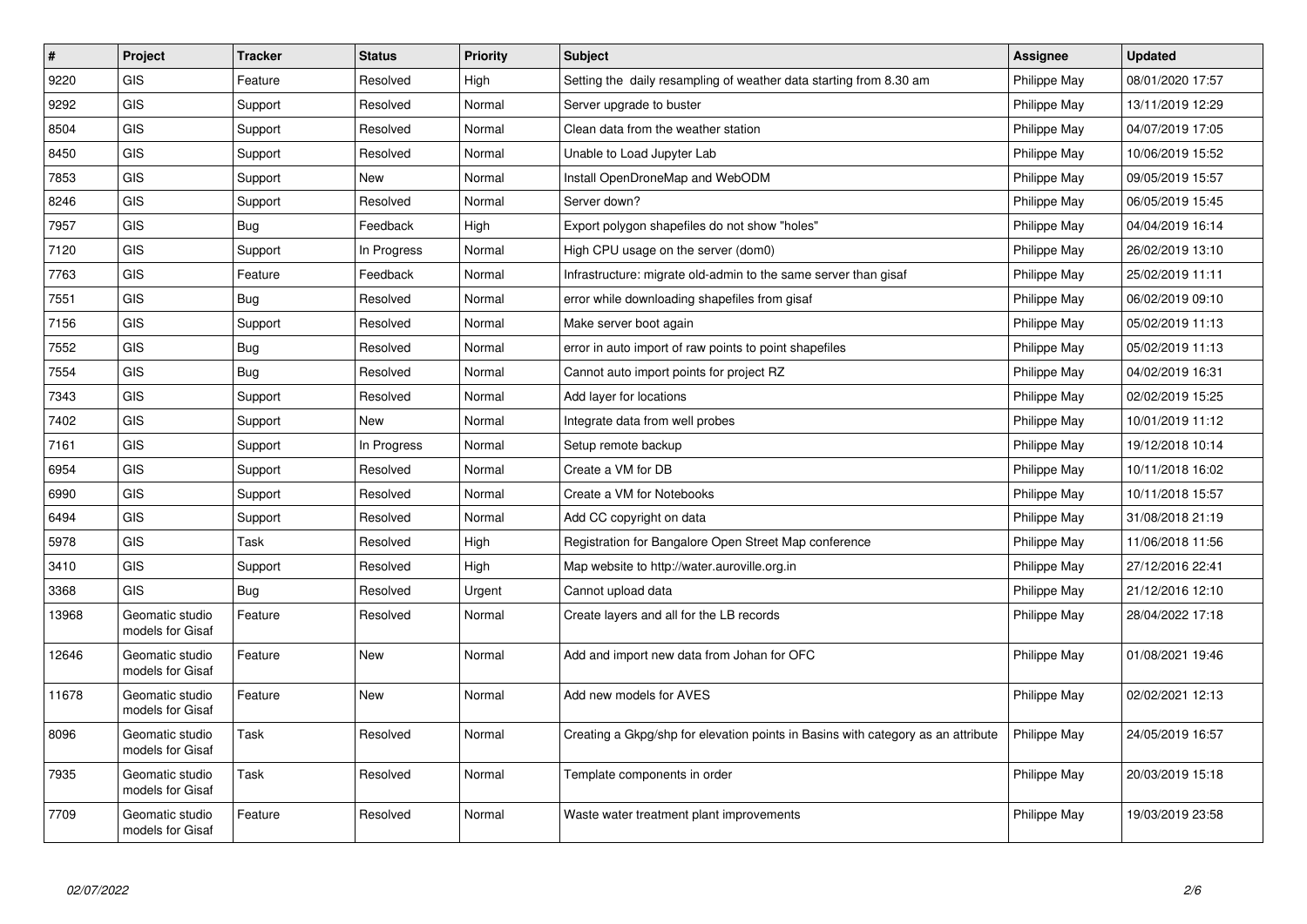| $\sharp$ | Project                             | <b>Tracker</b> | <b>Status</b> | <b>Priority</b> | <b>Subject</b>                                                                   | <b>Assignee</b> | <b>Updated</b>   |
|----------|-------------------------------------|----------------|---------------|-----------------|----------------------------------------------------------------------------------|-----------------|------------------|
| 9220     | <b>GIS</b>                          | Feature        | Resolved      | High            | Setting the daily resampling of weather data starting from 8.30 am               | Philippe May    | 08/01/2020 17:57 |
| 9292     | <b>GIS</b>                          | Support        | Resolved      | Normal          | Server upgrade to buster                                                         | Philippe May    | 13/11/2019 12:29 |
| 8504     | <b>GIS</b>                          | Support        | Resolved      | Normal          | Clean data from the weather station                                              | Philippe May    | 04/07/2019 17:05 |
| 8450     | <b>GIS</b>                          | Support        | Resolved      | Normal          | Unable to Load Jupyter Lab                                                       | Philippe May    | 10/06/2019 15:52 |
| 7853     | <b>GIS</b>                          | Support        | New           | Normal          | Install OpenDroneMap and WebODM                                                  | Philippe May    | 09/05/2019 15:57 |
| 8246     | GIS                                 | Support        | Resolved      | Normal          | Server down?                                                                     | Philippe May    | 06/05/2019 15:45 |
| 7957     | <b>GIS</b>                          | Bug            | Feedback      | High            | Export polygon shapefiles do not show "holes"                                    | Philippe May    | 04/04/2019 16:14 |
| 7120     | GIS                                 | Support        | In Progress   | Normal          | High CPU usage on the server (dom0)                                              | Philippe May    | 26/02/2019 13:10 |
| 7763     | <b>GIS</b>                          | Feature        | Feedback      | Normal          | Infrastructure: migrate old-admin to the same server than gisaf                  | Philippe May    | 25/02/2019 11:11 |
| 7551     | <b>GIS</b>                          | <b>Bug</b>     | Resolved      | Normal          | error while downloading shapefiles from gisaf                                    | Philippe May    | 06/02/2019 09:10 |
| 7156     | <b>GIS</b>                          | Support        | Resolved      | Normal          | Make server boot again                                                           | Philippe May    | 05/02/2019 11:13 |
| 7552     | <b>GIS</b>                          | Bug            | Resolved      | Normal          | error in auto import of raw points to point shapefiles                           | Philippe May    | 05/02/2019 11:13 |
| 7554     | GIS                                 | <b>Bug</b>     | Resolved      | Normal          | Cannot auto import points for project RZ                                         | Philippe May    | 04/02/2019 16:31 |
| 7343     | GIS                                 | Support        | Resolved      | Normal          | Add layer for locations                                                          | Philippe May    | 02/02/2019 15:25 |
| 7402     | <b>GIS</b>                          | Support        | New           | Normal          | Integrate data from well probes                                                  | Philippe May    | 10/01/2019 11:12 |
| 7161     | <b>GIS</b>                          | Support        | In Progress   | Normal          | Setup remote backup                                                              | Philippe May    | 19/12/2018 10:14 |
| 6954     | <b>GIS</b>                          | Support        | Resolved      | Normal          | Create a VM for DB                                                               | Philippe May    | 10/11/2018 16:02 |
| 6990     | GIS                                 | Support        | Resolved      | Normal          | Create a VM for Notebooks                                                        | Philippe May    | 10/11/2018 15:57 |
| 6494     | <b>GIS</b>                          | Support        | Resolved      | Normal          | Add CC copyright on data                                                         | Philippe May    | 31/08/2018 21:19 |
| 5978     | GIS                                 | Task           | Resolved      | High            | Registration for Bangalore Open Street Map conference                            | Philippe May    | 11/06/2018 11:56 |
| 3410     | <b>GIS</b>                          | Support        | Resolved      | High            | Map website to http://water.auroville.org.in                                     | Philippe May    | 27/12/2016 22:41 |
| 3368     | <b>GIS</b>                          | Bug            | Resolved      | Urgent          | Cannot upload data                                                               | Philippe May    | 21/12/2016 12:10 |
| 13968    | Geomatic studio<br>models for Gisaf | Feature        | Resolved      | Normal          | Create layers and all for the LB records                                         | Philippe May    | 28/04/2022 17:18 |
| 12646    | Geomatic studio<br>models for Gisaf | Feature        | New           | Normal          | Add and import new data from Johan for OFC                                       | Philippe May    | 01/08/2021 19:46 |
| 11678    | Geomatic studio<br>models for Gisaf | Feature        | <b>New</b>    | Normal          | Add new models for AVES                                                          | Philippe May    | 02/02/2021 12:13 |
| 8096     | Geomatic studio<br>models for Gisaf | Task           | Resolved      | Normal          | Creating a Gkpg/shp for elevation points in Basins with category as an attribute | Philippe May    | 24/05/2019 16:57 |
| 7935     | Geomatic studio<br>models for Gisaf | Task           | Resolved      | Normal          | Template components in order                                                     | Philippe May    | 20/03/2019 15:18 |
| 7709     | Geomatic studio<br>models for Gisaf | Feature        | Resolved      | Normal          | Waste water treatment plant improvements                                         | Philippe May    | 19/03/2019 23:58 |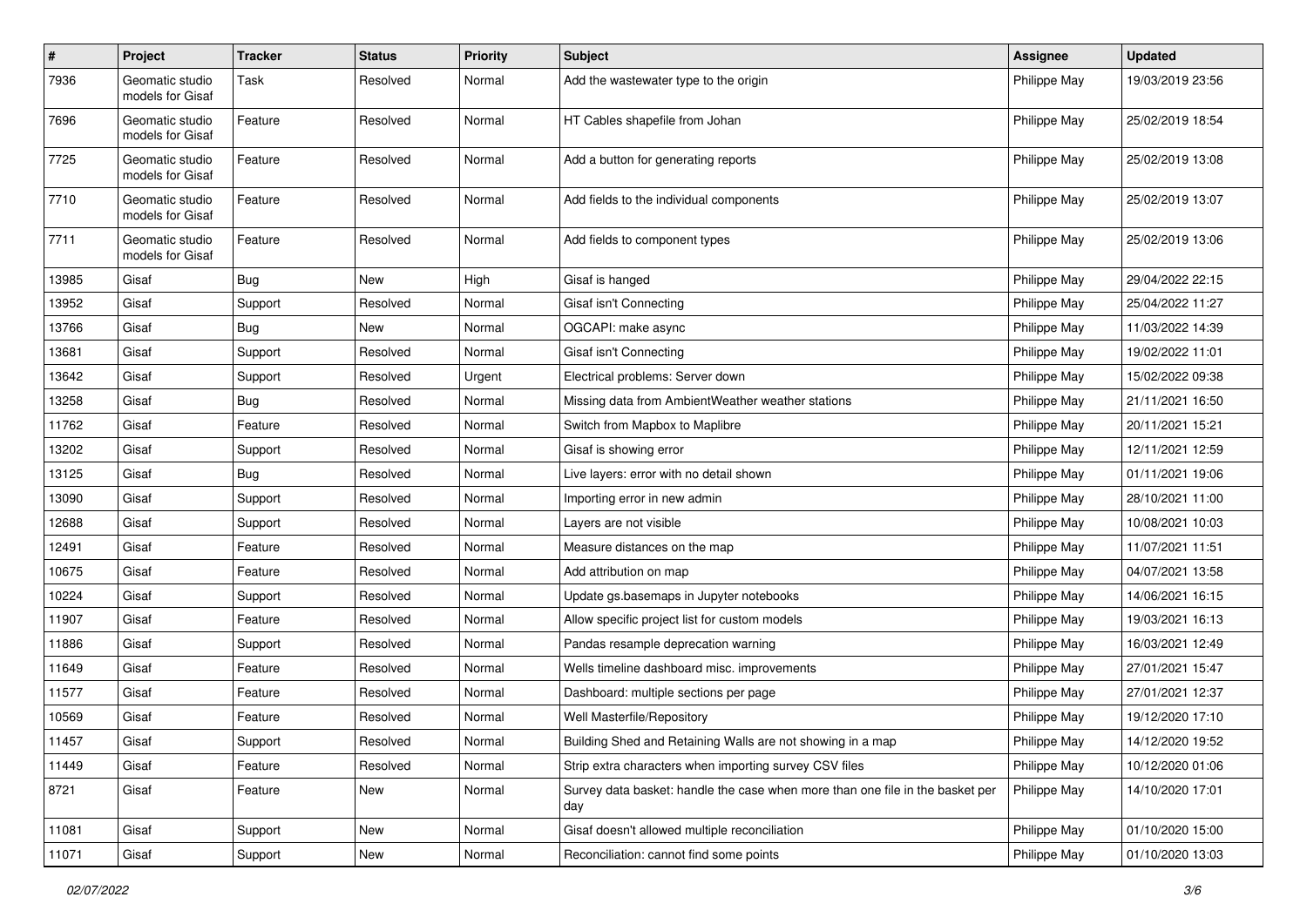| $\sharp$ | Project                             | <b>Tracker</b> | <b>Status</b> | <b>Priority</b> | <b>Subject</b>                                                                       | <b>Assignee</b> | <b>Updated</b>   |
|----------|-------------------------------------|----------------|---------------|-----------------|--------------------------------------------------------------------------------------|-----------------|------------------|
| 7936     | Geomatic studio<br>models for Gisaf | Task           | Resolved      | Normal          | Add the wastewater type to the origin                                                | Philippe May    | 19/03/2019 23:56 |
| 7696     | Geomatic studio<br>models for Gisaf | Feature        | Resolved      | Normal          | HT Cables shapefile from Johan                                                       | Philippe May    | 25/02/2019 18:54 |
| 7725     | Geomatic studio<br>models for Gisaf | Feature        | Resolved      | Normal          | Add a button for generating reports                                                  | Philippe May    | 25/02/2019 13:08 |
| 7710     | Geomatic studio<br>models for Gisaf | Feature        | Resolved      | Normal          | Add fields to the individual components                                              | Philippe May    | 25/02/2019 13:07 |
| 7711     | Geomatic studio<br>models for Gisaf | Feature        | Resolved      | Normal          | Add fields to component types                                                        | Philippe May    | 25/02/2019 13:06 |
| 13985    | Gisaf                               | Bug            | New           | High            | Gisaf is hanged                                                                      | Philippe May    | 29/04/2022 22:15 |
| 13952    | Gisaf                               | Support        | Resolved      | Normal          | Gisaf isn't Connecting                                                               | Philippe May    | 25/04/2022 11:27 |
| 13766    | Gisaf                               | Bug            | <b>New</b>    | Normal          | OGCAPI: make async                                                                   | Philippe May    | 11/03/2022 14:39 |
| 13681    | Gisaf                               | Support        | Resolved      | Normal          | Gisaf isn't Connecting                                                               | Philippe May    | 19/02/2022 11:01 |
| 13642    | Gisaf                               | Support        | Resolved      | Urgent          | Electrical problems: Server down                                                     | Philippe May    | 15/02/2022 09:38 |
| 13258    | Gisaf                               | <b>Bug</b>     | Resolved      | Normal          | Missing data from AmbientWeather weather stations                                    | Philippe May    | 21/11/2021 16:50 |
| 11762    | Gisaf                               | Feature        | Resolved      | Normal          | Switch from Mapbox to Maplibre                                                       | Philippe May    | 20/11/2021 15:21 |
| 13202    | Gisaf                               | Support        | Resolved      | Normal          | Gisaf is showing error                                                               | Philippe May    | 12/11/2021 12:59 |
| 13125    | Gisaf                               | <b>Bug</b>     | Resolved      | Normal          | Live layers: error with no detail shown                                              | Philippe May    | 01/11/2021 19:06 |
| 13090    | Gisaf                               | Support        | Resolved      | Normal          | Importing error in new admin                                                         | Philippe May    | 28/10/2021 11:00 |
| 12688    | Gisaf                               | Support        | Resolved      | Normal          | Layers are not visible                                                               | Philippe May    | 10/08/2021 10:03 |
| 12491    | Gisaf                               | Feature        | Resolved      | Normal          | Measure distances on the map                                                         | Philippe May    | 11/07/2021 11:51 |
| 10675    | Gisaf                               | Feature        | Resolved      | Normal          | Add attribution on map                                                               | Philippe May    | 04/07/2021 13:58 |
| 10224    | Gisaf                               | Support        | Resolved      | Normal          | Update gs.basemaps in Jupyter notebooks                                              | Philippe May    | 14/06/2021 16:15 |
| 11907    | Gisaf                               | Feature        | Resolved      | Normal          | Allow specific project list for custom models                                        | Philippe May    | 19/03/2021 16:13 |
| 11886    | Gisaf                               | Support        | Resolved      | Normal          | Pandas resample deprecation warning                                                  | Philippe May    | 16/03/2021 12:49 |
| 11649    | Gisaf                               | Feature        | Resolved      | Normal          | Wells timeline dashboard misc. improvements                                          | Philippe May    | 27/01/2021 15:47 |
| 11577    | Gisaf                               | Feature        | Resolved      | Normal          | Dashboard: multiple sections per page                                                | Philippe May    | 27/01/2021 12:37 |
| 10569    | Gisaf                               | Feature        | Resolved      | Normal          | Well Masterfile/Repository                                                           | Philippe May    | 19/12/2020 17:10 |
| 11457    | Gisaf                               | Support        | Resolved      | Normal          | Building Shed and Retaining Walls are not showing in a map                           | Philippe May    | 14/12/2020 19:52 |
| 11449    | Gisaf                               | Feature        | Resolved      | Normal          | Strip extra characters when importing survey CSV files                               | Philippe May    | 10/12/2020 01:06 |
| 8721     | Gisaf                               | Feature        | New           | Normal          | Survey data basket: handle the case when more than one file in the basket per<br>day | Philippe May    | 14/10/2020 17:01 |
| 11081    | Gisaf                               | Support        | New           | Normal          | Gisaf doesn't allowed multiple reconciliation                                        | Philippe May    | 01/10/2020 15:00 |
| 11071    | Gisaf                               | Support        | New           | Normal          | Reconciliation: cannot find some points                                              | Philippe May    | 01/10/2020 13:03 |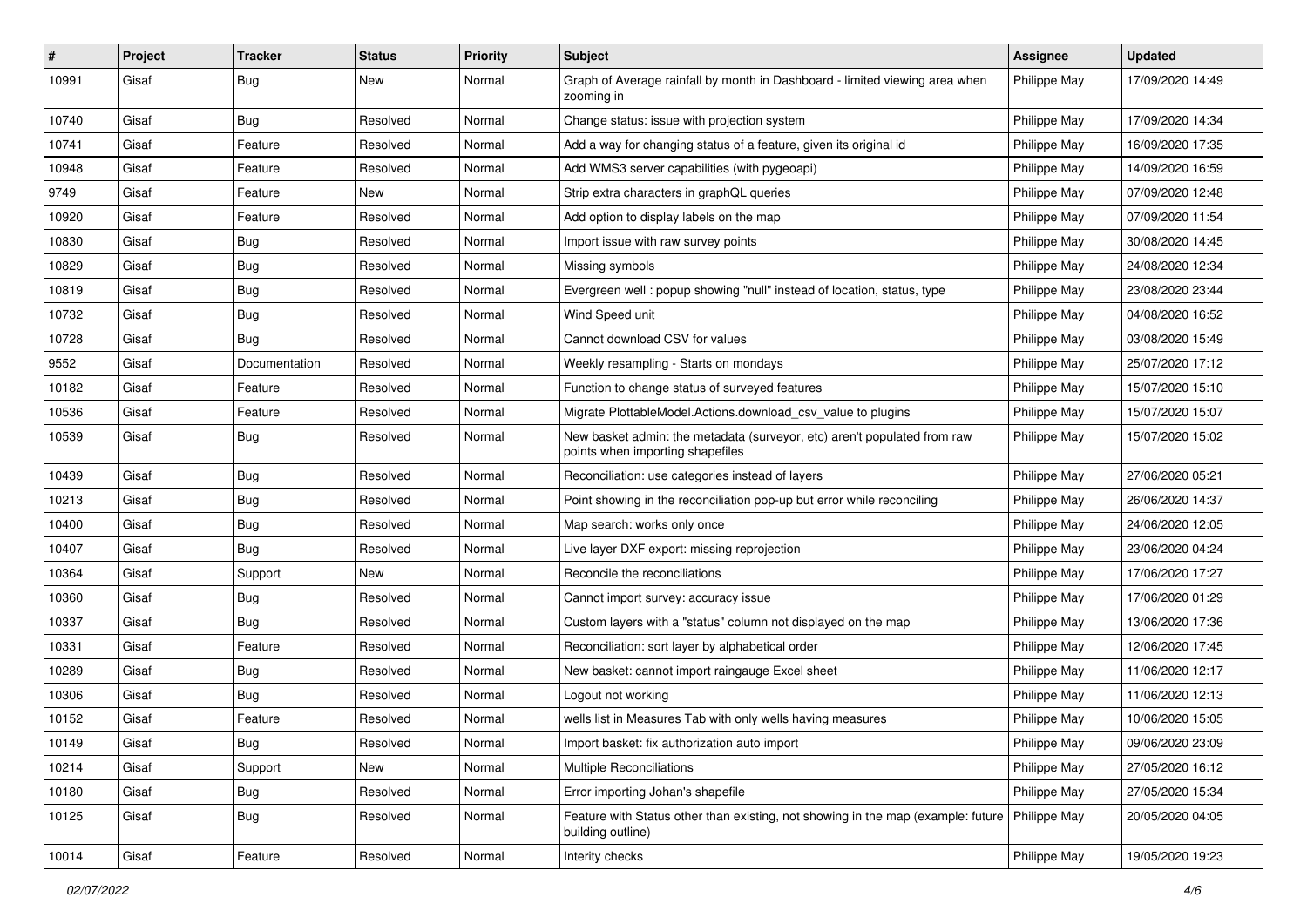| #     | Project | <b>Tracker</b> | <b>Status</b> | <b>Priority</b> | Subject                                                                                                              | <b>Assignee</b> | <b>Updated</b>   |
|-------|---------|----------------|---------------|-----------------|----------------------------------------------------------------------------------------------------------------------|-----------------|------------------|
| 10991 | Gisaf   | <b>Bug</b>     | New           | Normal          | Graph of Average rainfall by month in Dashboard - limited viewing area when<br>zooming in                            | Philippe May    | 17/09/2020 14:49 |
| 10740 | Gisaf   | Bug            | Resolved      | Normal          | Change status: issue with projection system                                                                          | Philippe May    | 17/09/2020 14:34 |
| 10741 | Gisaf   | Feature        | Resolved      | Normal          | Add a way for changing status of a feature, given its original id                                                    | Philippe May    | 16/09/2020 17:35 |
| 10948 | Gisaf   | Feature        | Resolved      | Normal          | Add WMS3 server capabilities (with pygeoapi)                                                                         | Philippe May    | 14/09/2020 16:59 |
| 9749  | Gisaf   | Feature        | New           | Normal          | Strip extra characters in graphQL queries                                                                            | Philippe May    | 07/09/2020 12:48 |
| 10920 | Gisaf   | Feature        | Resolved      | Normal          | Add option to display labels on the map                                                                              | Philippe May    | 07/09/2020 11:54 |
| 10830 | Gisaf   | Bug            | Resolved      | Normal          | Import issue with raw survey points                                                                                  | Philippe May    | 30/08/2020 14:45 |
| 10829 | Gisaf   | <b>Bug</b>     | Resolved      | Normal          | Missing symbols                                                                                                      | Philippe May    | 24/08/2020 12:34 |
| 10819 | Gisaf   | Bug            | Resolved      | Normal          | Evergreen well: popup showing "null" instead of location, status, type                                               | Philippe May    | 23/08/2020 23:44 |
| 10732 | Gisaf   | Bug            | Resolved      | Normal          | Wind Speed unit                                                                                                      | Philippe May    | 04/08/2020 16:52 |
| 10728 | Gisaf   | <b>Bug</b>     | Resolved      | Normal          | Cannot download CSV for values                                                                                       | Philippe May    | 03/08/2020 15:49 |
| 9552  | Gisaf   | Documentation  | Resolved      | Normal          | Weekly resampling - Starts on mondays                                                                                | Philippe May    | 25/07/2020 17:12 |
| 10182 | Gisaf   | Feature        | Resolved      | Normal          | Function to change status of surveyed features                                                                       | Philippe May    | 15/07/2020 15:10 |
| 10536 | Gisaf   | Feature        | Resolved      | Normal          | Migrate PlottableModel.Actions.download_csv_value to plugins                                                         | Philippe May    | 15/07/2020 15:07 |
| 10539 | Gisaf   | Bug            | Resolved      | Normal          | New basket admin: the metadata (surveyor, etc) aren't populated from raw<br>points when importing shapefiles         | Philippe May    | 15/07/2020 15:02 |
| 10439 | Gisaf   | Bug            | Resolved      | Normal          | Reconciliation: use categories instead of layers                                                                     | Philippe May    | 27/06/2020 05:21 |
| 10213 | Gisaf   | <b>Bug</b>     | Resolved      | Normal          | Point showing in the reconciliation pop-up but error while reconciling                                               | Philippe May    | 26/06/2020 14:37 |
| 10400 | Gisaf   | Bug            | Resolved      | Normal          | Map search: works only once                                                                                          | Philippe May    | 24/06/2020 12:05 |
| 10407 | Gisaf   | Bug            | Resolved      | Normal          | Live layer DXF export: missing reprojection                                                                          | Philippe May    | 23/06/2020 04:24 |
| 10364 | Gisaf   | Support        | <b>New</b>    | Normal          | Reconcile the reconciliations                                                                                        | Philippe May    | 17/06/2020 17:27 |
| 10360 | Gisaf   | Bug            | Resolved      | Normal          | Cannot import survey: accuracy issue                                                                                 | Philippe May    | 17/06/2020 01:29 |
| 10337 | Gisaf   | <b>Bug</b>     | Resolved      | Normal          | Custom layers with a "status" column not displayed on the map                                                        | Philippe May    | 13/06/2020 17:36 |
| 10331 | Gisaf   | Feature        | Resolved      | Normal          | Reconciliation: sort layer by alphabetical order                                                                     | Philippe May    | 12/06/2020 17:45 |
| 10289 | Gisaf   | <b>Bug</b>     | Resolved      | Normal          | New basket: cannot import raingauge Excel sheet                                                                      | Philippe May    | 11/06/2020 12:17 |
| 10306 | Gisaf   | Bug            | Resolved      | Normal          | Logout not working                                                                                                   | Philippe May    | 11/06/2020 12:13 |
| 10152 | Gisaf   | Feature        | Resolved      | Normal          | wells list in Measures Tab with only wells having measures                                                           | Philippe May    | 10/06/2020 15:05 |
| 10149 | Gisaf   | Bug            | Resolved      | Normal          | Import basket: fix authorization auto import                                                                         | Philippe May    | 09/06/2020 23:09 |
| 10214 | Gisaf   | Support        | New           | Normal          | Multiple Reconciliations                                                                                             | Philippe May    | 27/05/2020 16:12 |
| 10180 | Gisaf   | Bug            | Resolved      | Normal          | Error importing Johan's shapefile                                                                                    | Philippe May    | 27/05/2020 15:34 |
| 10125 | Gisaf   | <b>Bug</b>     | Resolved      | Normal          | Feature with Status other than existing, not showing in the map (example: future   Philippe May<br>building outline) |                 | 20/05/2020 04:05 |
| 10014 | Gisaf   | Feature        | Resolved      | Normal          | Interity checks                                                                                                      | Philippe May    | 19/05/2020 19:23 |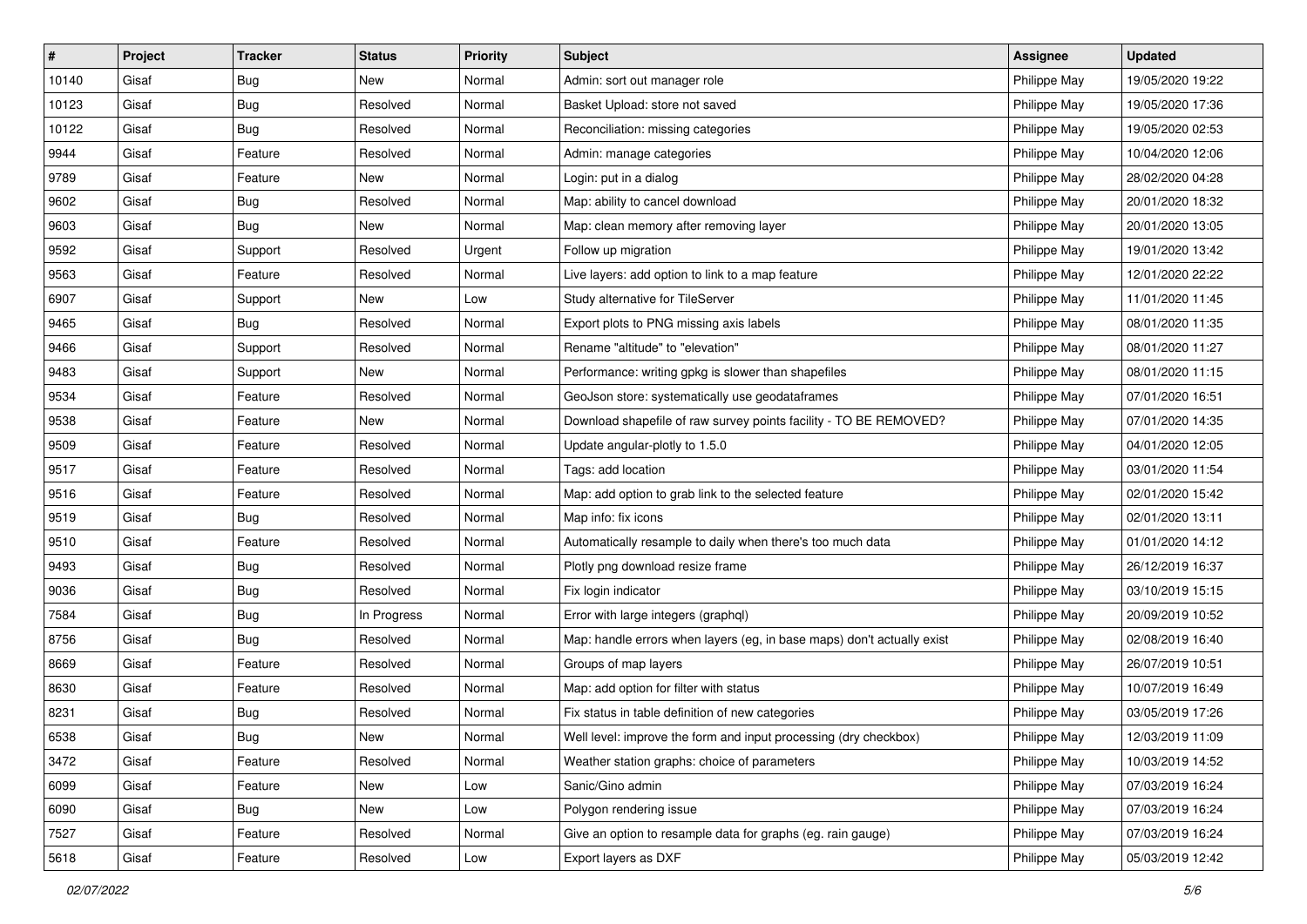| #     | Project | <b>Tracker</b> | <b>Status</b> | <b>Priority</b> | <b>Subject</b>                                                         | <b>Assignee</b> | <b>Updated</b>   |
|-------|---------|----------------|---------------|-----------------|------------------------------------------------------------------------|-----------------|------------------|
| 10140 | Gisaf   | <b>Bug</b>     | New           | Normal          | Admin: sort out manager role                                           | Philippe May    | 19/05/2020 19:22 |
| 10123 | Gisaf   | <b>Bug</b>     | Resolved      | Normal          | Basket Upload: store not saved                                         | Philippe May    | 19/05/2020 17:36 |
| 10122 | Gisaf   | <b>Bug</b>     | Resolved      | Normal          | Reconciliation: missing categories                                     | Philippe May    | 19/05/2020 02:53 |
| 9944  | Gisaf   | Feature        | Resolved      | Normal          | Admin: manage categories                                               | Philippe May    | 10/04/2020 12:06 |
| 9789  | Gisaf   | Feature        | <b>New</b>    | Normal          | Login: put in a dialog                                                 | Philippe May    | 28/02/2020 04:28 |
| 9602  | Gisaf   | <b>Bug</b>     | Resolved      | Normal          | Map: ability to cancel download                                        | Philippe May    | 20/01/2020 18:32 |
| 9603  | Gisaf   | <b>Bug</b>     | New           | Normal          | Map: clean memory after removing layer                                 | Philippe May    | 20/01/2020 13:05 |
| 9592  | Gisaf   | Support        | Resolved      | Urgent          | Follow up migration                                                    | Philippe May    | 19/01/2020 13:42 |
| 9563  | Gisaf   | Feature        | Resolved      | Normal          | Live layers: add option to link to a map feature                       | Philippe May    | 12/01/2020 22:22 |
| 6907  | Gisaf   | Support        | New           | Low             | Study alternative for TileServer                                       | Philippe May    | 11/01/2020 11:45 |
| 9465  | Gisaf   | <b>Bug</b>     | Resolved      | Normal          | Export plots to PNG missing axis labels                                | Philippe May    | 08/01/2020 11:35 |
| 9466  | Gisaf   | Support        | Resolved      | Normal          | Rename "altitude" to "elevation"                                       | Philippe May    | 08/01/2020 11:27 |
| 9483  | Gisaf   | Support        | New           | Normal          | Performance: writing gpkg is slower than shapefiles                    | Philippe May    | 08/01/2020 11:15 |
| 9534  | Gisaf   | Feature        | Resolved      | Normal          | GeoJson store: systematically use geodataframes                        | Philippe May    | 07/01/2020 16:51 |
| 9538  | Gisaf   | Feature        | <b>New</b>    | Normal          | Download shapefile of raw survey points facility - TO BE REMOVED?      | Philippe May    | 07/01/2020 14:35 |
| 9509  | Gisaf   | Feature        | Resolved      | Normal          | Update angular-plotly to 1.5.0                                         | Philippe May    | 04/01/2020 12:05 |
| 9517  | Gisaf   | Feature        | Resolved      | Normal          | Tags: add location                                                     | Philippe May    | 03/01/2020 11:54 |
| 9516  | Gisaf   | Feature        | Resolved      | Normal          | Map: add option to grab link to the selected feature                   | Philippe May    | 02/01/2020 15:42 |
| 9519  | Gisaf   | <b>Bug</b>     | Resolved      | Normal          | Map info: fix icons                                                    | Philippe May    | 02/01/2020 13:11 |
| 9510  | Gisaf   | Feature        | Resolved      | Normal          | Automatically resample to daily when there's too much data             | Philippe May    | 01/01/2020 14:12 |
| 9493  | Gisaf   | <b>Bug</b>     | Resolved      | Normal          | Plotly png download resize frame                                       | Philippe May    | 26/12/2019 16:37 |
| 9036  | Gisaf   | <b>Bug</b>     | Resolved      | Normal          | Fix login indicator                                                    | Philippe May    | 03/10/2019 15:15 |
| 7584  | Gisaf   | Bug            | In Progress   | Normal          | Error with large integers (graphql)                                    | Philippe May    | 20/09/2019 10:52 |
| 8756  | Gisaf   | Bug            | Resolved      | Normal          | Map: handle errors when layers (eg, in base maps) don't actually exist | Philippe May    | 02/08/2019 16:40 |
| 8669  | Gisaf   | Feature        | Resolved      | Normal          | Groups of map layers                                                   | Philippe May    | 26/07/2019 10:51 |
| 8630  | Gisaf   | Feature        | Resolved      | Normal          | Map: add option for filter with status                                 | Philippe May    | 10/07/2019 16:49 |
| 8231  | Gisaf   | <b>Bug</b>     | Resolved      | Normal          | Fix status in table definition of new categories                       | Philippe May    | 03/05/2019 17:26 |
| 6538  | Gisaf   | <b>Bug</b>     | New           | Normal          | Well level: improve the form and input processing (dry checkbox)       | Philippe May    | 12/03/2019 11:09 |
| 3472  | Gisaf   | Feature        | Resolved      | Normal          | Weather station graphs: choice of parameters                           | Philippe May    | 10/03/2019 14:52 |
| 6099  | Gisaf   | Feature        | New           | Low             | Sanic/Gino admin                                                       | Philippe May    | 07/03/2019 16:24 |
| 6090  | Gisaf   | Bug            | New           | Low             | Polygon rendering issue                                                | Philippe May    | 07/03/2019 16:24 |
| 7527  | Gisaf   | Feature        | Resolved      | Normal          | Give an option to resample data for graphs (eg. rain gauge)            | Philippe May    | 07/03/2019 16:24 |
| 5618  | Gisaf   | Feature        | Resolved      | Low             | Export layers as DXF                                                   | Philippe May    | 05/03/2019 12:42 |